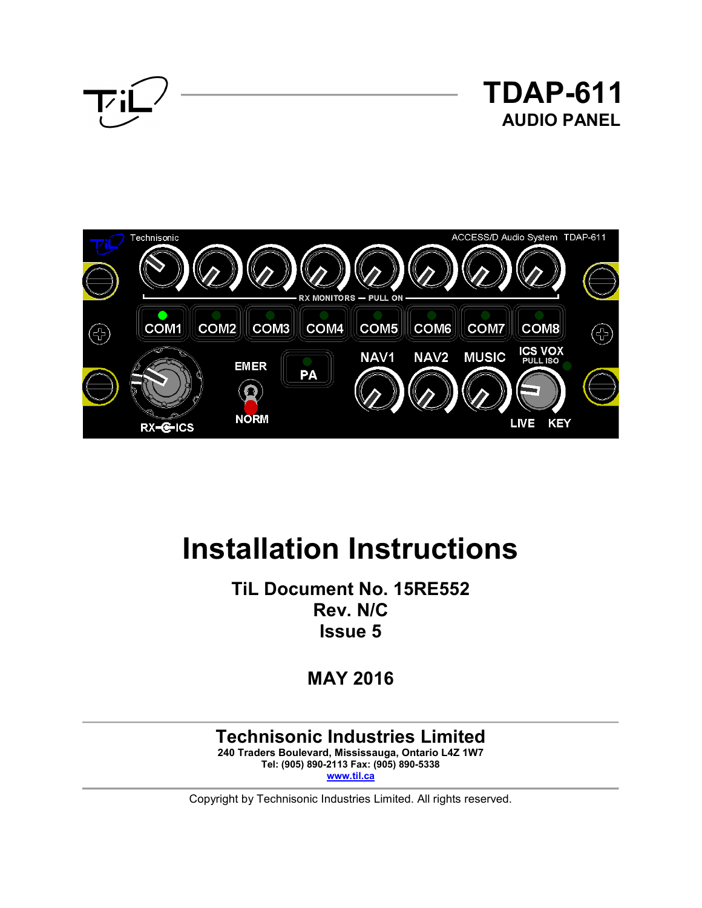



# **Installation Instructions**

**TiL Document No. 15RE552 Rev. N/C Issue 5** 

**MAY 2016** 

## **Technisonic Industries Limited**

**240 Traders Boulevard, Mississauga, Ontario L4Z 1W7 Tel: (905) 890-2113 Fax: (905) 890-5338 www.til.ca**

Copyright by Technisonic Industries Limited. All rights reserved.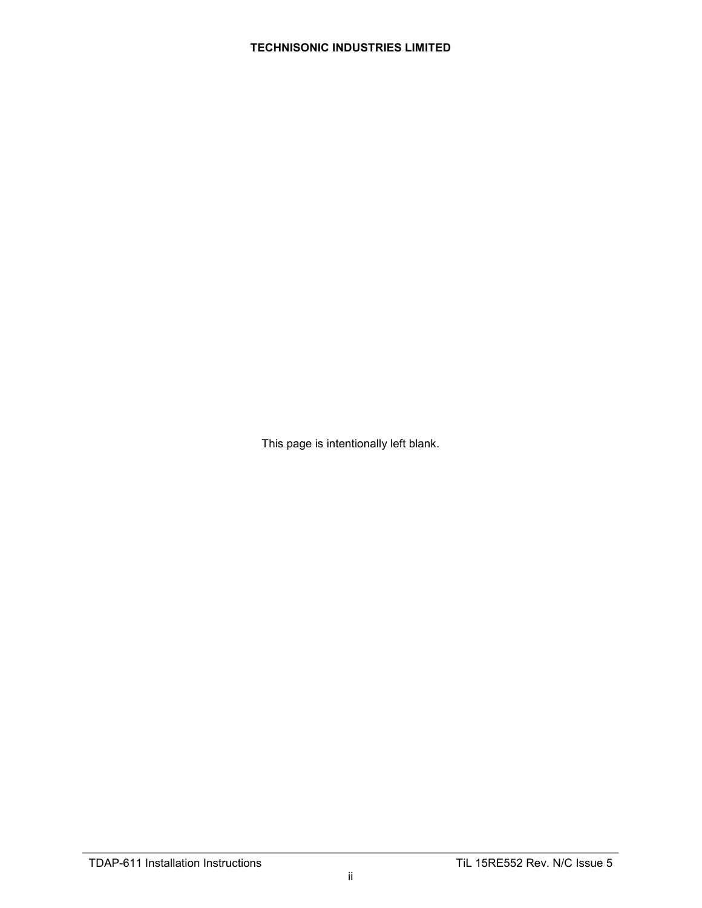This page is intentionally left blank.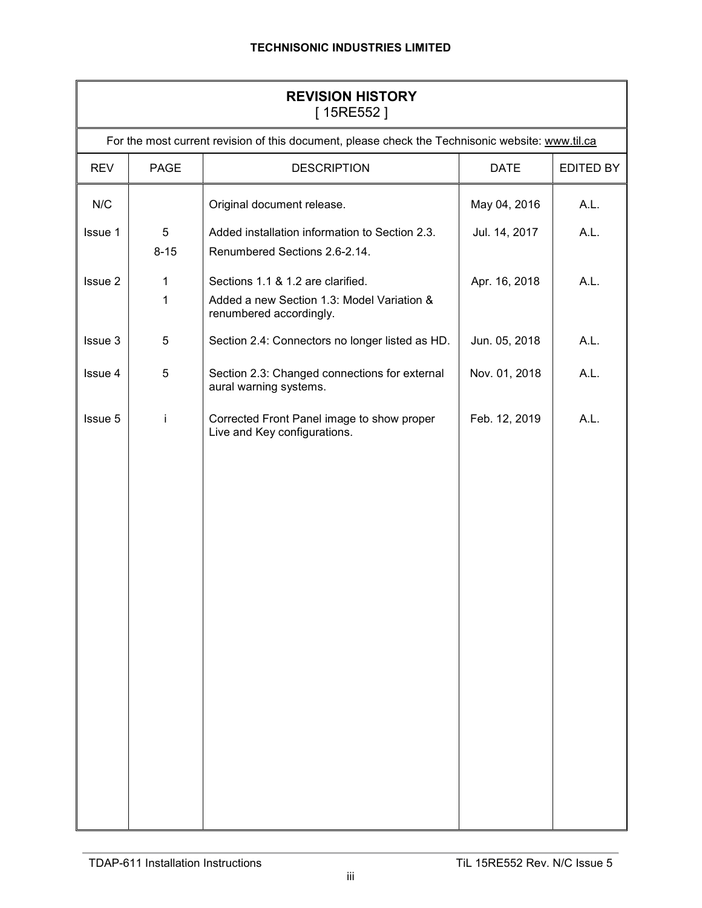| <b>REVISION HISTORY</b><br>[15RE552] |                                                                                                  |                                                                                 |               |      |  |  |
|--------------------------------------|--------------------------------------------------------------------------------------------------|---------------------------------------------------------------------------------|---------------|------|--|--|
|                                      | For the most current revision of this document, please check the Technisonic website: www.til.ca |                                                                                 |               |      |  |  |
| <b>REV</b>                           | PAGE                                                                                             | <b>DATE</b>                                                                     | EDITED BY     |      |  |  |
| N/C                                  |                                                                                                  | Original document release.                                                      | May 04, 2016  | A.L. |  |  |
| Issue 1                              | 5<br>$8 - 15$                                                                                    | Added installation information to Section 2.3.<br>Renumbered Sections 2.6-2.14. | Jul. 14, 2017 | A.L. |  |  |
| Issue 2                              | 1                                                                                                | Sections 1.1 & 1.2 are clarified.                                               | Apr. 16, 2018 | A.L. |  |  |
|                                      | 1                                                                                                | Added a new Section 1.3: Model Variation &<br>renumbered accordingly.           |               |      |  |  |
| Issue 3                              | 5                                                                                                | Section 2.4: Connectors no longer listed as HD.                                 | Jun. 05, 2018 | A.L. |  |  |
| Issue 4                              | 5                                                                                                | Section 2.3: Changed connections for external<br>aural warning systems.         | Nov. 01, 2018 | A.L. |  |  |
| Issue 5                              | İ                                                                                                | Corrected Front Panel image to show proper<br>Live and Key configurations.      | Feb. 12, 2019 | A.L. |  |  |
|                                      |                                                                                                  |                                                                                 |               |      |  |  |
|                                      |                                                                                                  |                                                                                 |               |      |  |  |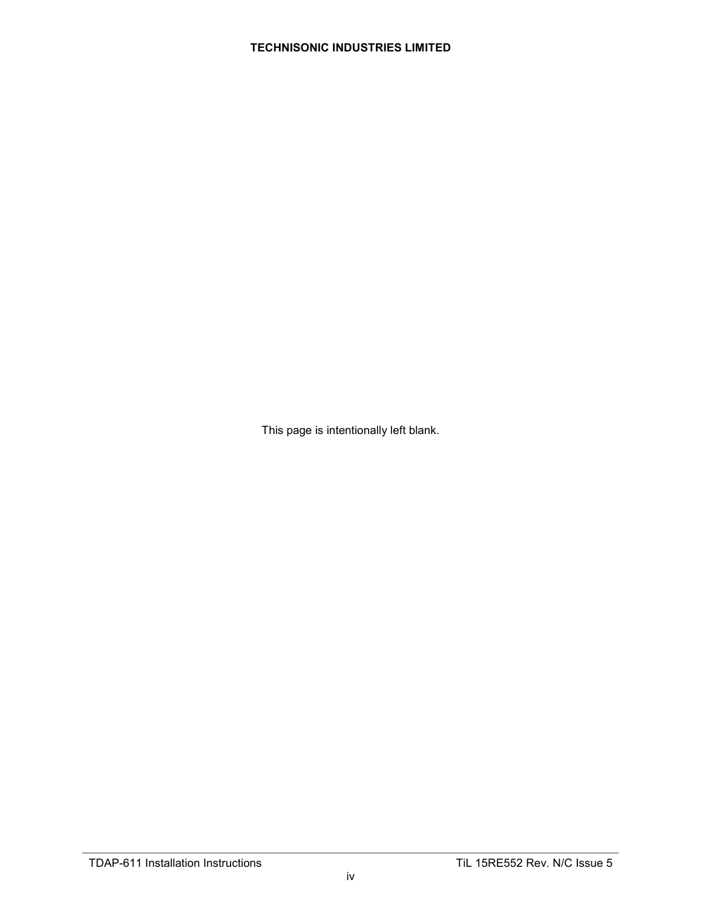This page is intentionally left blank.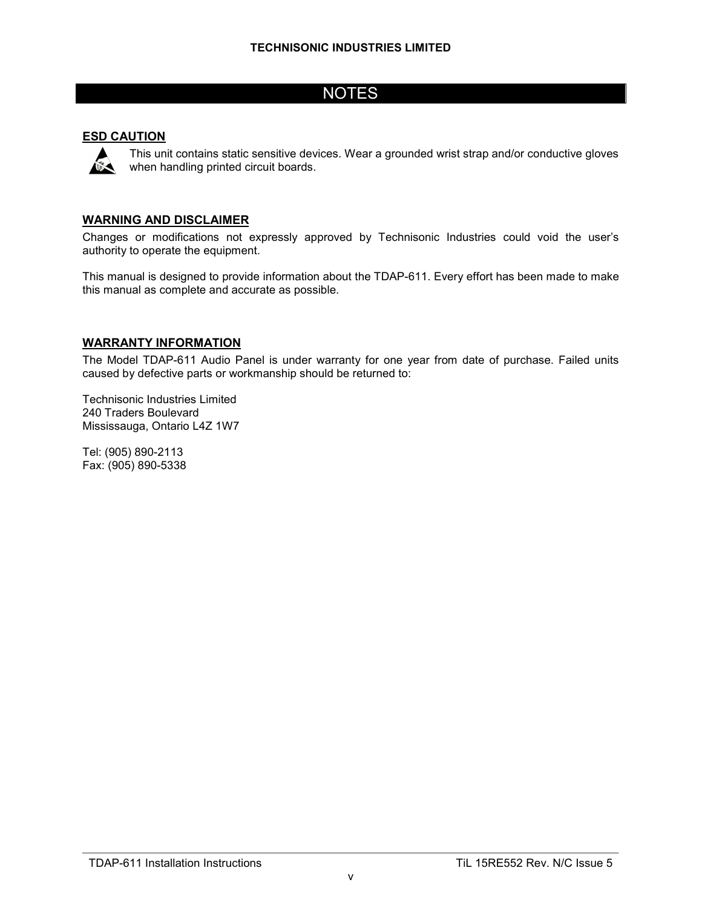### **NOTES**

### **ESD CAUTION**



This unit contains static sensitive devices. Wear a grounded wrist strap and/or conductive gloves when handling printed circuit boards.

### **WARNING AND DISCLAIMER**

Changes or modifications not expressly approved by Technisonic Industries could void the user's authority to operate the equipment.

This manual is designed to provide information about the TDAP-611. Every effort has been made to make this manual as complete and accurate as possible.

### **WARRANTY INFORMATION**

The Model TDAP-611 Audio Panel is under warranty for one year from date of purchase. Failed units caused by defective parts or workmanship should be returned to:

Technisonic Industries Limited 240 Traders Boulevard Mississauga, Ontario L4Z 1W7

Tel: (905) 890-2113 Fax: (905) 890-5338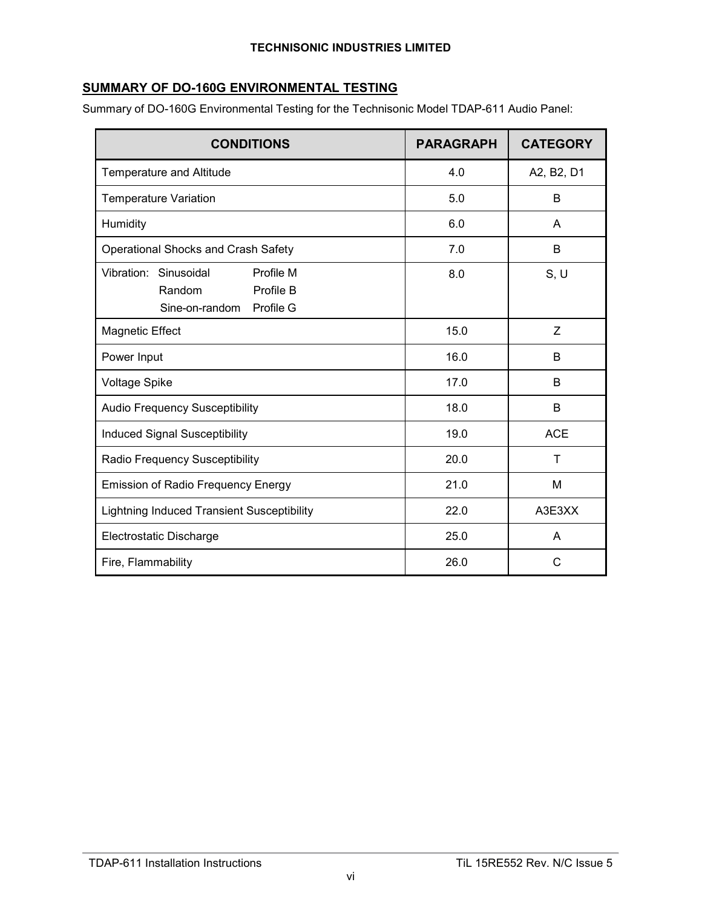### **SUMMARY OF DO-160G ENVIRONMENTAL TESTING**

Summary of DO-160G Environmental Testing for the Technisonic Model TDAP-611 Audio Panel:

| <b>CONDITIONS</b>                                                                        | <b>PARAGRAPH</b> | <b>CATEGORY</b> |
|------------------------------------------------------------------------------------------|------------------|-----------------|
| Temperature and Altitude                                                                 | 4.0              | A2, B2, D1      |
| <b>Temperature Variation</b>                                                             | 5.0              | B               |
| Humidity                                                                                 | 6.0              | A               |
| Operational Shocks and Crash Safety                                                      | 7.0              | B               |
| Vibration: Sinusoidal<br>Profile M<br>Profile B<br>Random<br>Profile G<br>Sine-on-random | 8.0              | S, U            |
| <b>Magnetic Effect</b>                                                                   | 15.0             | Z               |
| Power Input                                                                              | 16.0             | B               |
| <b>Voltage Spike</b>                                                                     | 17.0             | B               |
| <b>Audio Frequency Susceptibility</b>                                                    | 18.0             | B               |
| <b>Induced Signal Susceptibility</b>                                                     | 19.0             | <b>ACE</b>      |
| Radio Frequency Susceptibility                                                           | 20.0             | т               |
| <b>Emission of Radio Frequency Energy</b>                                                | 21.0             | M               |
| <b>Lightning Induced Transient Susceptibility</b>                                        | 22.0             | A3E3XX          |
| <b>Electrostatic Discharge</b>                                                           | 25.0             | A               |
| Fire, Flammability                                                                       | 26.0             | C               |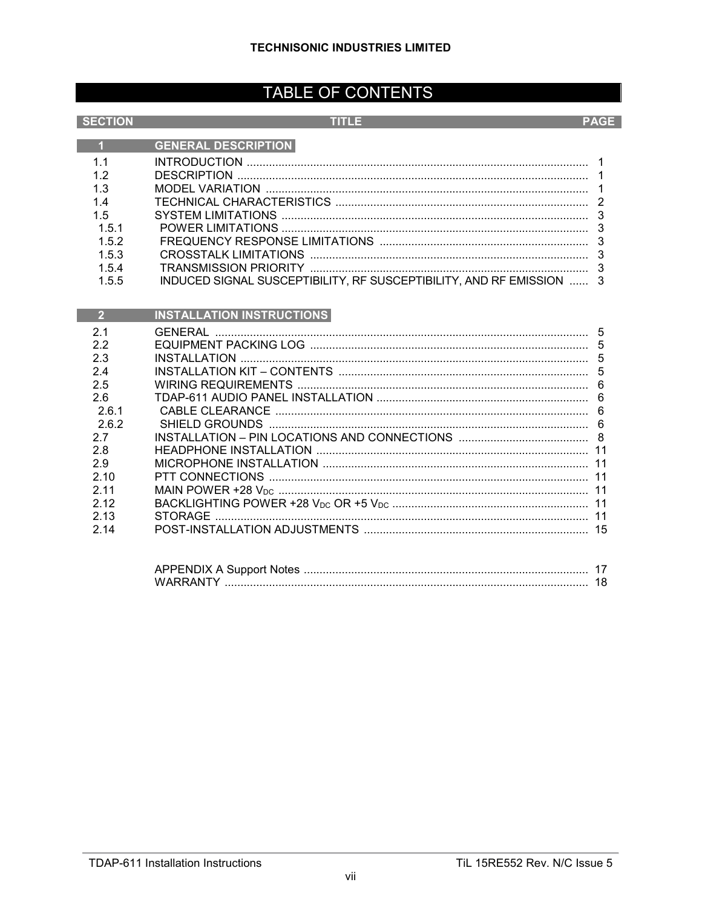# TABLE OF CONTENTS

| <b>SECTION</b> | TITLE                                                             | <b>PAGE</b> |
|----------------|-------------------------------------------------------------------|-------------|
| 1              | <b>GENERAL DESCRIPTION</b>                                        |             |
| 1.1            |                                                                   | 1           |
| 1.2            |                                                                   | 1           |
| 1.3            |                                                                   | 1           |
| 1.4            |                                                                   |             |
| 1.5            |                                                                   | 3           |
| 1.5.1          |                                                                   | 3           |
| 1.5.2          |                                                                   |             |
| 1.5.3          |                                                                   |             |
| 1.5.4          |                                                                   |             |
| 1.5.5          | INDUCED SIGNAL SUSCEPTIBILITY, RF SUSCEPTIBILITY, AND RF EMISSION | 3           |
|                |                                                                   |             |
| $\overline{2}$ | <b>INSTALLATION INSTRUCTIONS</b>                                  |             |
| 2.1            |                                                                   |             |
| 2.2            |                                                                   | 5           |
| 2.3            |                                                                   | 5           |
| 2.4            |                                                                   | 5           |
| 2.5            |                                                                   | 6           |
| 2.6            |                                                                   | 6           |
| 2.6.1          |                                                                   | 6           |
| 2.6.2          |                                                                   |             |
| 2.7            |                                                                   |             |
| 2.8            |                                                                   |             |
| 2.9            |                                                                   |             |
| 2.10           |                                                                   |             |
| 2.11           |                                                                   |             |
| 2.12           |                                                                   |             |
| 2.13           |                                                                   |             |
| 2.14           |                                                                   |             |
|                |                                                                   |             |
|                |                                                                   |             |
|                |                                                                   |             |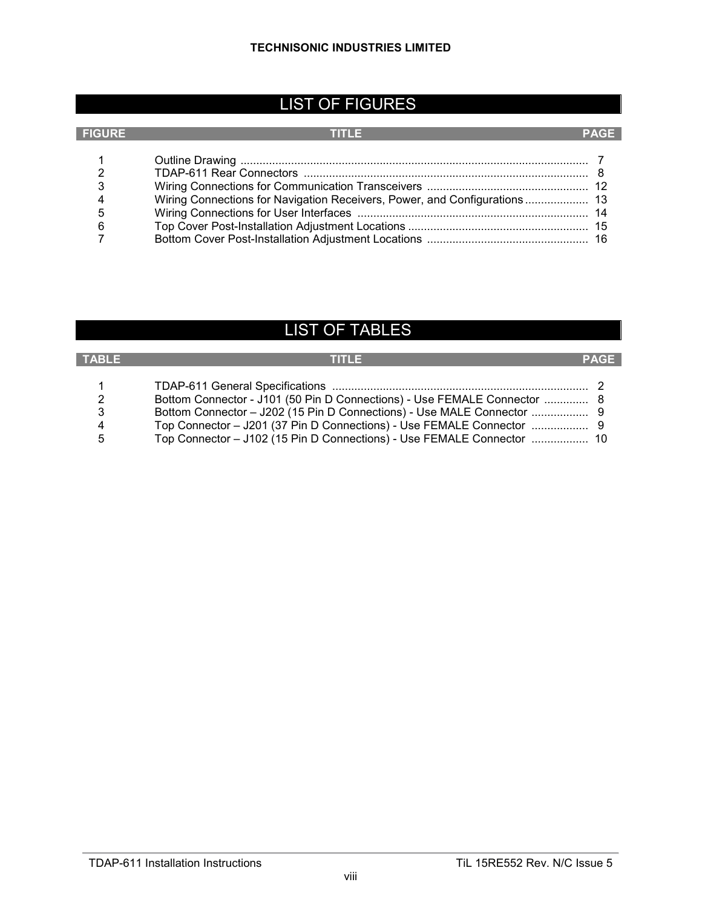# LIST OF FIGURES

| <b>FIGURE</b> | n in La                                                                   | <b>PAGE</b> |
|---------------|---------------------------------------------------------------------------|-------------|
| 2             |                                                                           |             |
| 3             |                                                                           |             |
|               | Wiring Connections for Navigation Receivers, Power, and Configurations 13 |             |
| 5             |                                                                           |             |
| 6             |                                                                           |             |
|               |                                                                           |             |

# LIST OF TABLES

| TABLE | h in La                                                                  | <b>PAGE</b> |
|-------|--------------------------------------------------------------------------|-------------|
|       |                                                                          |             |
|       |                                                                          |             |
|       | Bottom Connector - J101 (50 Pin D Connections) - Use FEMALE Connector  8 |             |
|       |                                                                          |             |
|       |                                                                          |             |
| 5     | Top Connector - J102 (15 Pin D Connections) - Use FEMALE Connector  10   |             |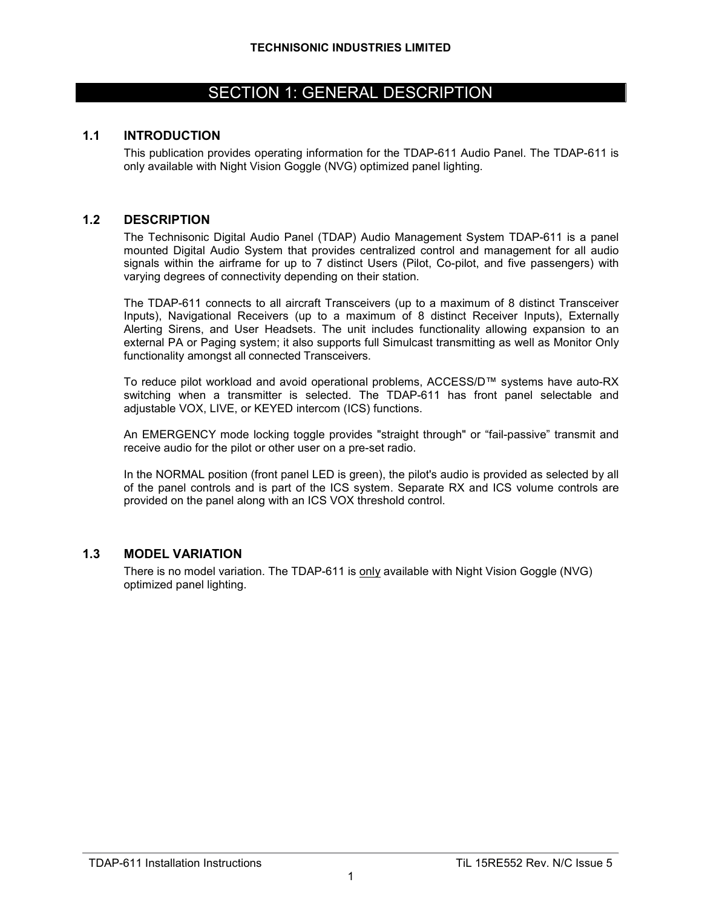### SECTION 1: GENERAL DESCRIPTION

### **1.1 INTRODUCTION**

This publication provides operating information for the TDAP-611 Audio Panel. The TDAP-611 is only available with Night Vision Goggle (NVG) optimized panel lighting.

### **1.2 DESCRIPTION**

The Technisonic Digital Audio Panel (TDAP) Audio Management System TDAP-611 is a panel mounted Digital Audio System that provides centralized control and management for all audio signals within the airframe for up to 7 distinct Users (Pilot, Co-pilot, and five passengers) with varying degrees of connectivity depending on their station.

The TDAP-611 connects to all aircraft Transceivers (up to a maximum of 8 distinct Transceiver Inputs), Navigational Receivers (up to a maximum of 8 distinct Receiver Inputs), Externally Alerting Sirens, and User Headsets. The unit includes functionality allowing expansion to an external PA or Paging system; it also supports full Simulcast transmitting as well as Monitor Only functionality amongst all connected Transceivers.

To reduce pilot workload and avoid operational problems, ACCESS/D™ systems have auto-RX switching when a transmitter is selected. The TDAP-611 has front panel selectable and adjustable VOX, LIVE, or KEYED intercom (ICS) functions.

An EMERGENCY mode locking toggle provides "straight through" or "fail-passive" transmit and receive audio for the pilot or other user on a pre-set radio.

In the NORMAL position (front panel LED is green), the pilot's audio is provided as selected by all of the panel controls and is part of the ICS system. Separate RX and ICS volume controls are provided on the panel along with an ICS VOX threshold control.

### **1.3 MODEL VARIATION**

There is no model variation. The TDAP-611 is only available with Night Vision Goggle (NVG) optimized panel lighting.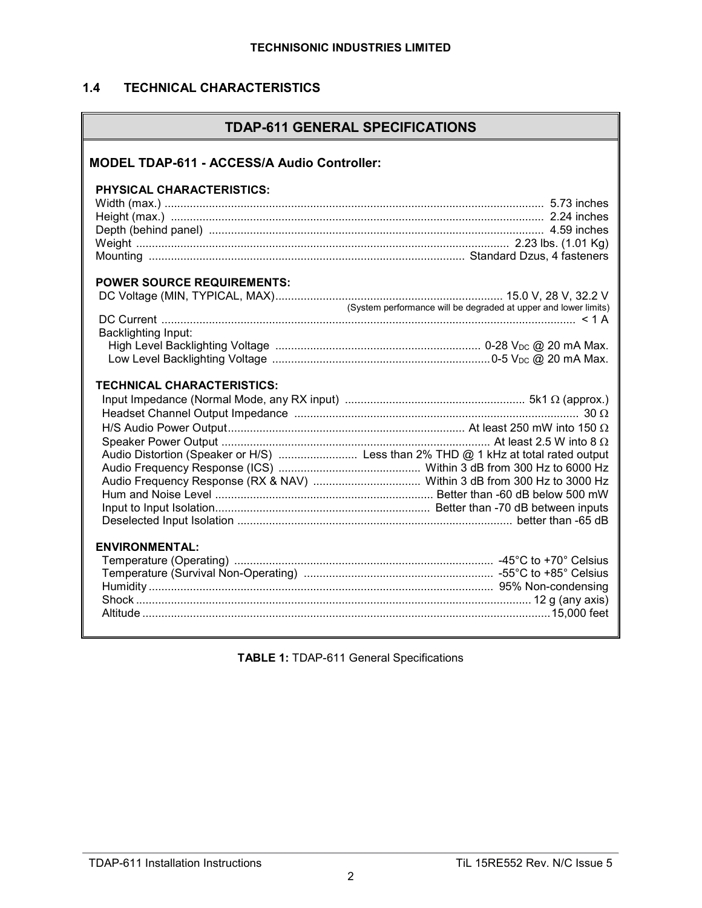### **1.4 TECHNICAL CHARACTERISTICS**

### **TDAP-611 GENERAL SPECIFICATIONS**

### **MODEL TDAP-611 - ACCESS/A Audio Controller:**

### **PHYSICAL CHARACTERISTICS:**

| FII I SIUAL UNANAU I ENISTIUS.    |                                                                                   |
|-----------------------------------|-----------------------------------------------------------------------------------|
| <b>POWER SOURCE REQUIREMENTS:</b> |                                                                                   |
|                                   |                                                                                   |
| <b>Backlighting Input:</b>        |                                                                                   |
|                                   |                                                                                   |
| <b>TECHNICAL CHARACTERISTICS:</b> |                                                                                   |
|                                   |                                                                                   |
|                                   |                                                                                   |
|                                   |                                                                                   |
|                                   | Audio Distortion (Speaker or H/S)  Less than 2% THD @ 1 kHz at total rated output |
|                                   |                                                                                   |
|                                   |                                                                                   |
|                                   |                                                                                   |
| <b>ENVIRONMENTAL:</b>             |                                                                                   |
|                                   |                                                                                   |
|                                   |                                                                                   |
|                                   |                                                                                   |
|                                   |                                                                                   |
|                                   |                                                                                   |

**TABLE 1:** TDAP-611 General Specifications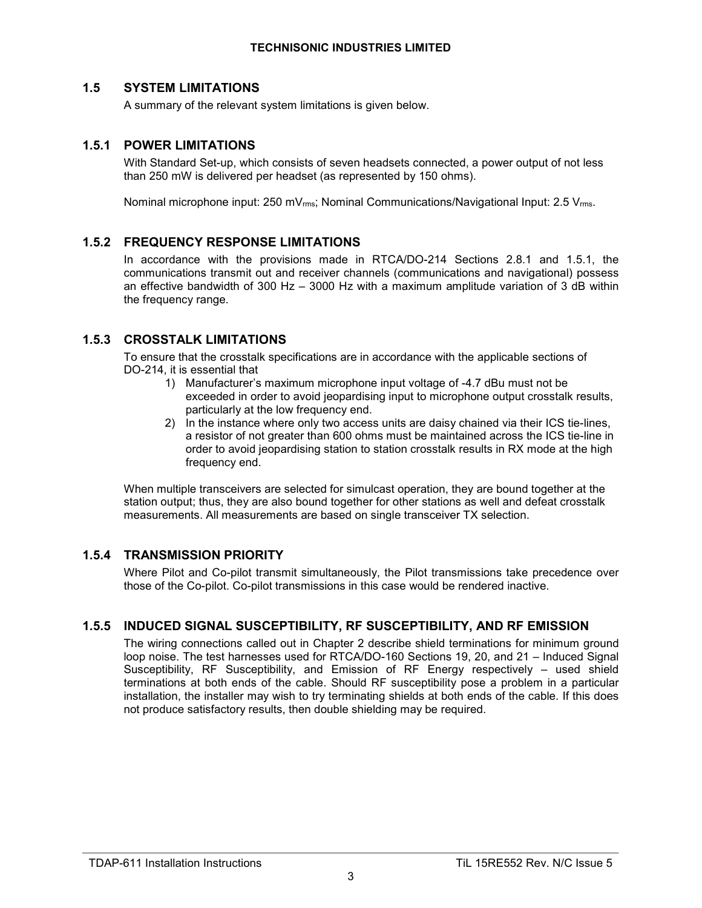### **1.5 SYSTEM LIMITATIONS**

A summary of the relevant system limitations is given below.

### **1.5.1 POWER LIMITATIONS**

With Standard Set-up, which consists of seven headsets connected, a power output of not less than 250 mW is delivered per headset (as represented by 150 ohms).

Nominal microphone input:  $250 \text{ mV}_{\text{rms}}$ ; Nominal Communications/Navigational Input:  $2.5 \text{ V}_{\text{rms}}$ .

### **1.5.2 FREQUENCY RESPONSE LIMITATIONS**

In accordance with the provisions made in RTCA/DO-214 Sections 2.8.1 and 1.5.1, the communications transmit out and receiver channels (communications and navigational) possess an effective bandwidth of 300 Hz – 3000 Hz with a maximum amplitude variation of 3 dB within the frequency range.

### **1.5.3 CROSSTALK LIMITATIONS**

To ensure that the crosstalk specifications are in accordance with the applicable sections of DO-214, it is essential that

- 1) Manufacturer's maximum microphone input voltage of -4.7 dBu must not be exceeded in order to avoid jeopardising input to microphone output crosstalk results, particularly at the low frequency end.
- 2) In the instance where only two access units are daisy chained via their ICS tie-lines, a resistor of not greater than 600 ohms must be maintained across the ICS tie-line in order to avoid jeopardising station to station crosstalk results in RX mode at the high frequency end.

When multiple transceivers are selected for simulcast operation, they are bound together at the station output; thus, they are also bound together for other stations as well and defeat crosstalk measurements. All measurements are based on single transceiver TX selection.

### **1.5.4 TRANSMISSION PRIORITY**

Where Pilot and Co-pilot transmit simultaneously, the Pilot transmissions take precedence over those of the Co-pilot. Co-pilot transmissions in this case would be rendered inactive.

### **1.5.5 INDUCED SIGNAL SUSCEPTIBILITY, RF SUSCEPTIBILITY, AND RF EMISSION**

The wiring connections called out in Chapter 2 describe shield terminations for minimum ground loop noise. The test harnesses used for RTCA/DO-160 Sections 19, 20, and 21 – Induced Signal Susceptibility, RF Susceptibility, and Emission of RF Energy respectively – used shield terminations at both ends of the cable. Should RF susceptibility pose a problem in a particular installation, the installer may wish to try terminating shields at both ends of the cable. If this does not produce satisfactory results, then double shielding may be required.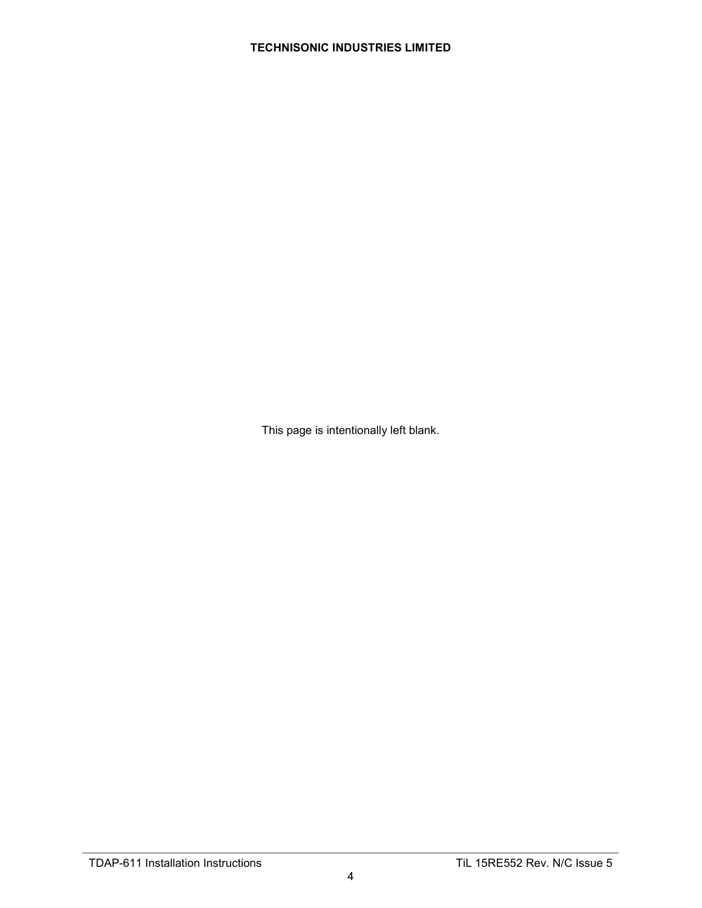This page is intentionally left blank.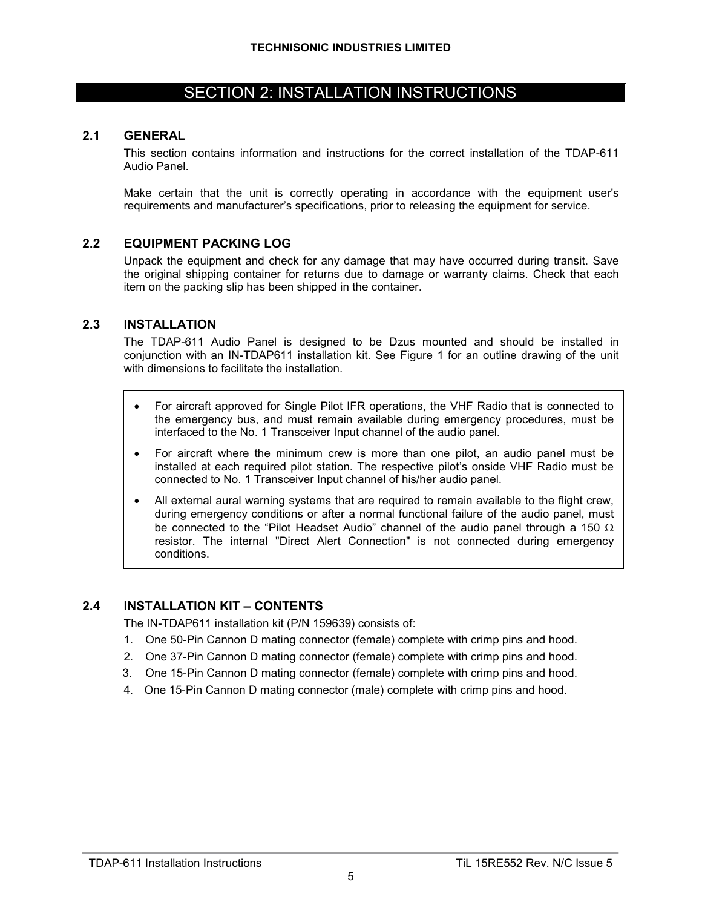### SECTION 2: INSTALLATION INSTRUCTIONS

### **2.1 GENERAL**

This section contains information and instructions for the correct installation of the TDAP-611 Audio Panel.

Make certain that the unit is correctly operating in accordance with the equipment user's requirements and manufacturer's specifications, prior to releasing the equipment for service.

### **2.2 EQUIPMENT PACKING LOG**

Unpack the equipment and check for any damage that may have occurred during transit. Save the original shipping container for returns due to damage or warranty claims. Check that each item on the packing slip has been shipped in the container.

### **2.3 INSTALLATION**

The TDAP-611 Audio Panel is designed to be Dzus mounted and should be installed in conjunction with an IN-TDAP611 installation kit. See Figure 1 for an outline drawing of the unit with dimensions to facilitate the installation.

- For aircraft approved for Single Pilot IFR operations, the VHF Radio that is connected to the emergency bus, and must remain available during emergency procedures, must be interfaced to the No. 1 Transceiver Input channel of the audio panel.
- For aircraft where the minimum crew is more than one pilot, an audio panel must be installed at each required pilot station. The respective pilot's onside VHF Radio must be connected to No. 1 Transceiver Input channel of his/her audio panel.
- All external aural warning systems that are required to remain available to the flight crew, during emergency conditions or after a normal functional failure of the audio panel, must be connected to the "Pilot Headset Audio" channel of the audio panel through a 150  $\Omega$ resistor. The internal "Direct Alert Connection" is not connected during emergency conditions.

### **2.4 INSTALLATION KIT – CONTENTS**

The IN-TDAP611 installation kit (P/N 159639) consists of:

- 1. One 50-Pin Cannon D mating connector (female) complete with crimp pins and hood.
- 2. One 37-Pin Cannon D mating connector (female) complete with crimp pins and hood.
- 3. One 15-Pin Cannon D mating connector (female) complete with crimp pins and hood.
- 4. One 15-Pin Cannon D mating connector (male) complete with crimp pins and hood.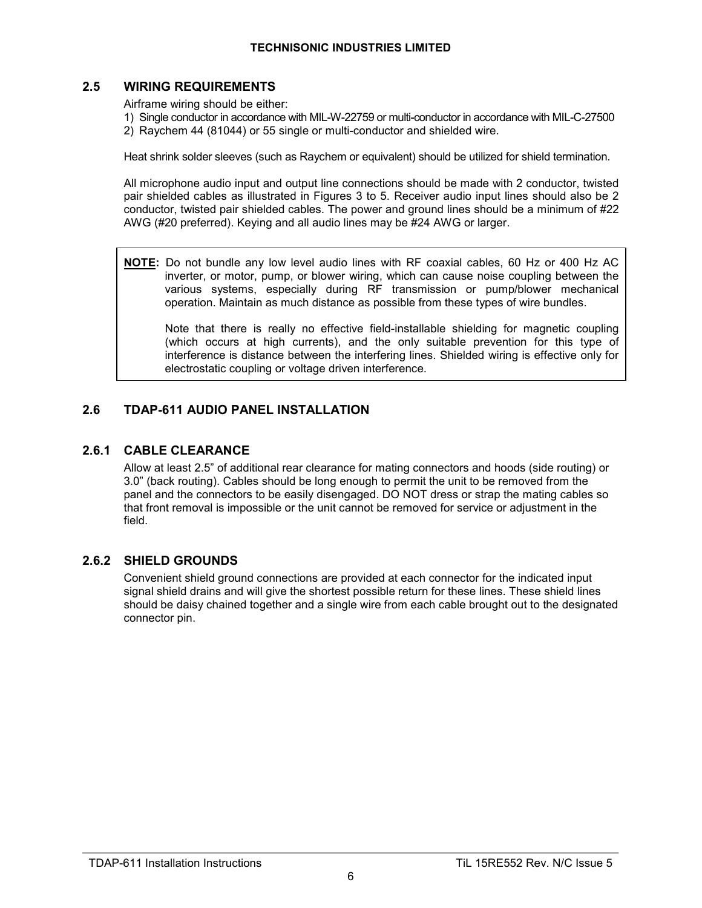### **2.5 WIRING REQUIREMENTS**

Airframe wiring should be either:

- 1) Single conductor in accordance with MIL-W-22759 or multi-conductor in accordance with MIL-C-27500
- 2) Raychem 44 (81044) or 55 single or multi-conductor and shielded wire.

Heat shrink solder sleeves (such as Raychem or equivalent) should be utilized for shield termination.

All microphone audio input and output line connections should be made with 2 conductor, twisted pair shielded cables as illustrated in Figures 3 to 5. Receiver audio input lines should also be 2 conductor, twisted pair shielded cables. The power and ground lines should be a minimum of #22 AWG (#20 preferred). Keying and all audio lines may be #24 AWG or larger.

**NOTE:** Do not bundle any low level audio lines with RF coaxial cables, 60 Hz or 400 Hz AC inverter, or motor, pump, or blower wiring, which can cause noise coupling between the various systems, especially during RF transmission or pump/blower mechanical operation. Maintain as much distance as possible from these types of wire bundles.

Note that there is really no effective field-installable shielding for magnetic coupling (which occurs at high currents), and the only suitable prevention for this type of interference is distance between the interfering lines. Shielded wiring is effective only for electrostatic coupling or voltage driven interference.

### **2.6 TDAP-611 AUDIO PANEL INSTALLATION**

### **2.6.1 CABLE CLEARANCE**

Allow at least 2.5" of additional rear clearance for mating connectors and hoods (side routing) or 3.0" (back routing). Cables should be long enough to permit the unit to be removed from the panel and the connectors to be easily disengaged. DO NOT dress or strap the mating cables so that front removal is impossible or the unit cannot be removed for service or adjustment in the field.

### **2.6.2 SHIELD GROUNDS**

Convenient shield ground connections are provided at each connector for the indicated input signal shield drains and will give the shortest possible return for these lines. These shield lines should be daisy chained together and a single wire from each cable brought out to the designated connector pin.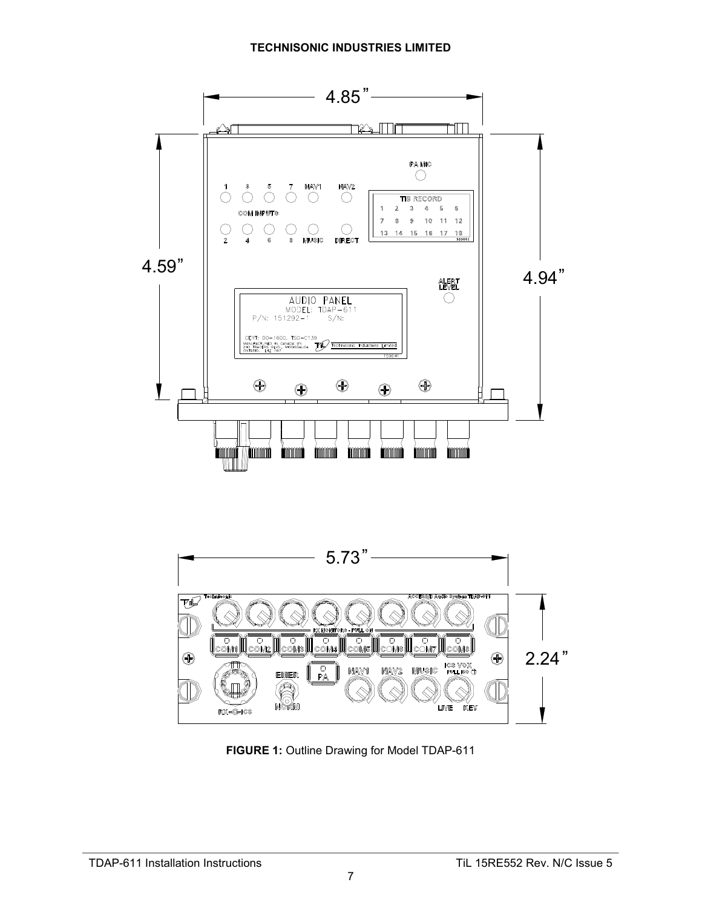



**FIGURE 1:** Outline Drawing for Model TDAP-611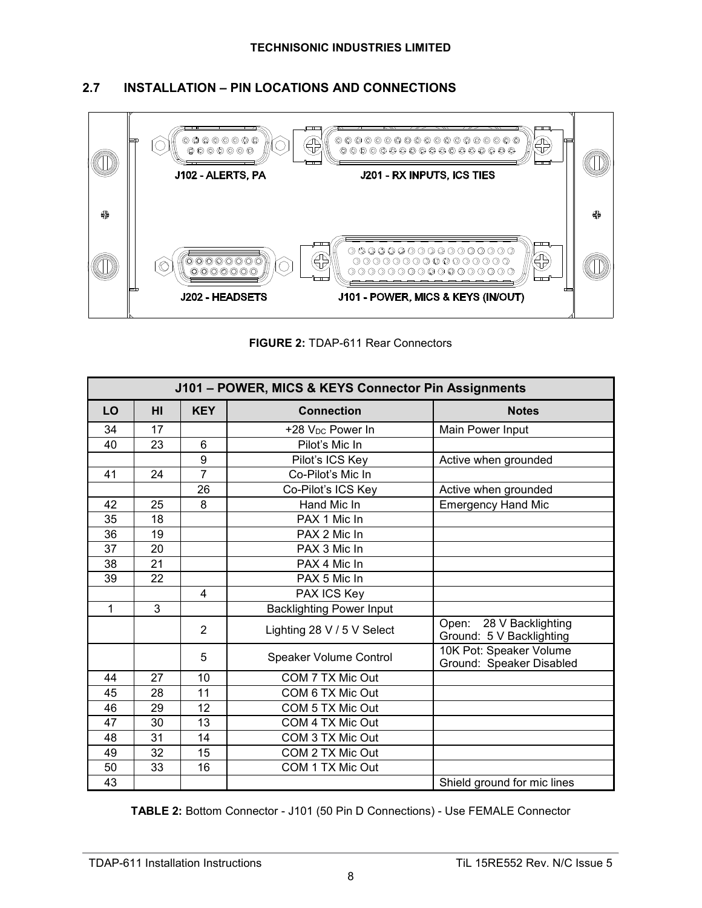### **2.7 INSTALLATION – PIN LOCATIONS AND CONNECTIONS**



**FIGURE 2:** TDAP-611 Rear Connectors

| J101 - POWER, MICS & KEYS Connector Pin Assignments |    |                |                                 |                                                     |  |
|-----------------------------------------------------|----|----------------|---------------------------------|-----------------------------------------------------|--|
| LO                                                  | HI | <b>KEY</b>     | <b>Connection</b>               | <b>Notes</b>                                        |  |
| 34                                                  | 17 |                | +28 V <sub>DC</sub> Power In    | Main Power Input                                    |  |
| 40                                                  | 23 | 6              | Pilot's Mic In                  |                                                     |  |
|                                                     |    | 9              | Pilot's ICS Key                 | Active when grounded                                |  |
| 41                                                  | 24 | $\overline{7}$ | Co-Pilot's Mic In               |                                                     |  |
|                                                     |    | 26             | Co-Pilot's ICS Key              | Active when grounded                                |  |
| 42                                                  | 25 | 8              | Hand Mic In                     | <b>Emergency Hand Mic</b>                           |  |
| 35                                                  | 18 |                | PAX 1 Mic In                    |                                                     |  |
| 36                                                  | 19 |                | PAX 2 Mic In                    |                                                     |  |
| 37                                                  | 20 |                | PAX 3 Mic In                    |                                                     |  |
| 38                                                  | 21 |                | PAX 4 Mic In                    |                                                     |  |
| 39                                                  | 22 |                | PAX 5 Mic In                    |                                                     |  |
|                                                     |    | 4              | PAX ICS Key                     |                                                     |  |
| 1                                                   | 3  |                | <b>Backlighting Power Input</b> |                                                     |  |
|                                                     |    | $\overline{2}$ | Lighting 28 V / 5 V Select      | Open: 28 V Backlighting<br>Ground: 5 V Backlighting |  |
|                                                     |    | 5              | Speaker Volume Control          | 10K Pot: Speaker Volume<br>Ground: Speaker Disabled |  |
| 44                                                  | 27 | 10             | COM 7 TX Mic Out                |                                                     |  |
| 45                                                  | 28 | 11             | COM 6 TX Mic Out                |                                                     |  |
| 46                                                  | 29 | 12             | COM 5 TX Mic Out                |                                                     |  |
| 47                                                  | 30 | 13             | COM 4 TX Mic Out                |                                                     |  |
| 48                                                  | 31 | 14             | COM 3 TX Mic Out                |                                                     |  |
| 49                                                  | 32 | 15             | COM 2 TX Mic Out                |                                                     |  |
| 50                                                  | 33 | 16             | COM 1 TX Mic Out                |                                                     |  |
| 43                                                  |    |                |                                 | Shield ground for mic lines                         |  |

**TABLE 2:** Bottom Connector - J101 (50 Pin D Connections) - Use FEMALE Connector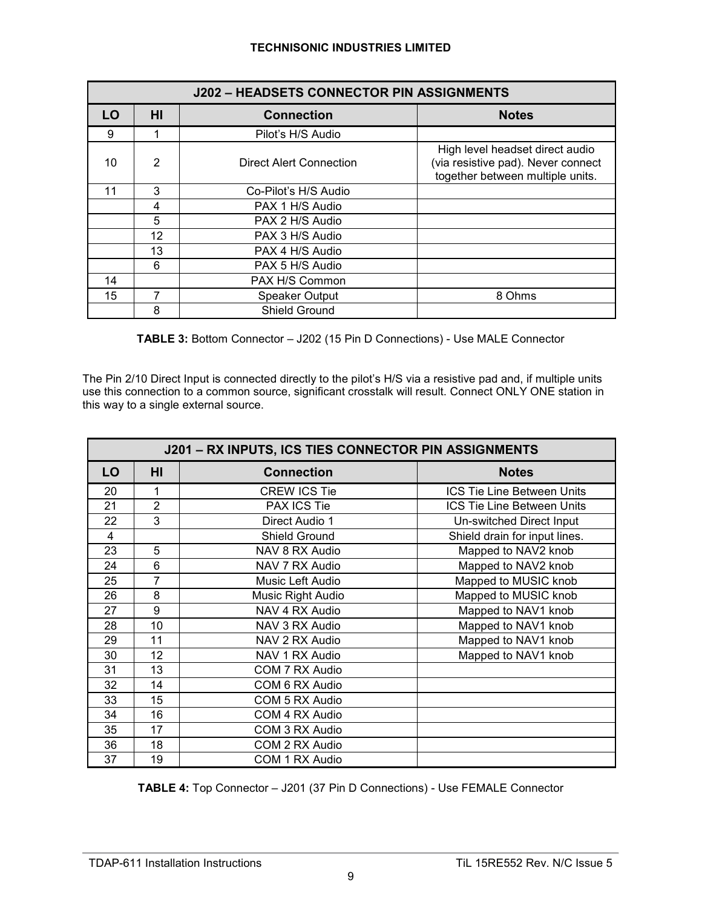| <b>J202 - HEADSETS CONNECTOR PIN ASSIGNMENTS</b> |           |                         |                                                                                                           |  |  |  |
|--------------------------------------------------|-----------|-------------------------|-----------------------------------------------------------------------------------------------------------|--|--|--|
| LO                                               | <b>HI</b> | <b>Connection</b>       | <b>Notes</b>                                                                                              |  |  |  |
| 9                                                |           | Pilot's H/S Audio       |                                                                                                           |  |  |  |
| 10                                               | 2         | Direct Alert Connection | High level headset direct audio<br>(via resistive pad). Never connect<br>together between multiple units. |  |  |  |
| 11                                               | 3         | Co-Pilot's H/S Audio    |                                                                                                           |  |  |  |
|                                                  | 4         | PAX 1 H/S Audio         |                                                                                                           |  |  |  |
|                                                  | 5         | PAX 2 H/S Audio         |                                                                                                           |  |  |  |
|                                                  | 12        | PAX 3 H/S Audio         |                                                                                                           |  |  |  |
|                                                  | 13        | PAX 4 H/S Audio         |                                                                                                           |  |  |  |
|                                                  | 6         | PAX 5 H/S Audio         |                                                                                                           |  |  |  |
| 14                                               |           | PAX H/S Common          |                                                                                                           |  |  |  |
| 15                                               | 7         | Speaker Output          | 8 Ohms                                                                                                    |  |  |  |
|                                                  | 8         | Shield Ground           |                                                                                                           |  |  |  |

**TABLE 3:** Bottom Connector – J202 (15 Pin D Connections) - Use MALE Connector

The Pin 2/10 Direct Input is connected directly to the pilot's H/S via a resistive pad and, if multiple units use this connection to a common source, significant crosstalk will result. Connect ONLY ONE station in this way to a single external source.

| J201 - RX INPUTS, ICS TIES CONNECTOR PIN ASSIGNMENTS |                |                                       |                                   |  |  |
|------------------------------------------------------|----------------|---------------------------------------|-----------------------------------|--|--|
| LO                                                   | ΗI             | <b>Connection</b>                     | <b>Notes</b>                      |  |  |
| 20                                                   | 1              | <b>CREW ICS Tie</b>                   | <b>ICS Tie Line Between Units</b> |  |  |
| 21                                                   | $\overline{2}$ | PAX ICS Tie                           | <b>ICS Tie Line Between Units</b> |  |  |
| 22                                                   | 3              | Direct Audio 1                        | Un-switched Direct Input          |  |  |
| $\overline{4}$                                       |                | Shield Ground                         | Shield drain for input lines.     |  |  |
| 23                                                   | 5              | NAV 8 RX Audio                        | Mapped to NAV2 knob               |  |  |
| 24                                                   | 6              | NAV 7 RX Audio                        | Mapped to NAV2 knob               |  |  |
| 25                                                   | 7              | <b>Music Left Audio</b>               | Mapped to MUSIC knob              |  |  |
| 26                                                   | 8              | Music Right Audio                     | Mapped to MUSIC knob              |  |  |
| 27                                                   | 9              | NAV 4 RX Audio                        | Mapped to NAV1 knob               |  |  |
| 28                                                   | 10             | NAV 3 RX Audio<br>Mapped to NAV1 knob |                                   |  |  |
| 29                                                   | 11             | NAV 2 RX Audio                        | Mapped to NAV1 knob               |  |  |
| 30                                                   | 12             | NAV 1 RX Audio                        | Mapped to NAV1 knob               |  |  |
| 31                                                   | 13             | COM 7 RX Audio                        |                                   |  |  |
| 32                                                   | 14             | COM 6 RX Audio                        |                                   |  |  |
| 33                                                   | 15             | COM 5 RX Audio                        |                                   |  |  |
| 34                                                   | 16             | COM 4 RX Audio                        |                                   |  |  |
| 35                                                   | 17             | COM 3 RX Audio                        |                                   |  |  |
| 36                                                   | 18             | COM 2 RX Audio                        |                                   |  |  |
| 37                                                   | 19             | COM 1 RX Audio                        |                                   |  |  |

**TABLE 4:** Top Connector – J201 (37 Pin D Connections) - Use FEMALE Connector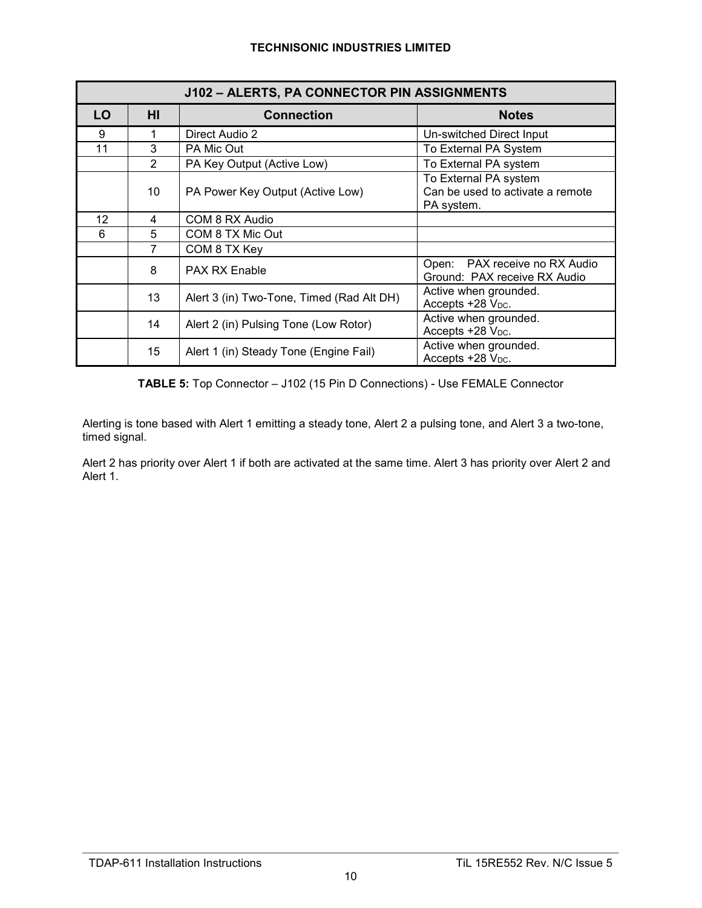| J102 - ALERTS, PA CONNECTOR PIN ASSIGNMENTS |                |                                           |                                                                         |  |  |
|---------------------------------------------|----------------|-------------------------------------------|-------------------------------------------------------------------------|--|--|
| LO                                          | <b>HI</b>      | <b>Connection</b>                         | <b>Notes</b>                                                            |  |  |
| 9                                           | 1              | Direct Audio 2                            | Un-switched Direct Input                                                |  |  |
| 11                                          | 3              | PA Mic Out                                | To External PA System                                                   |  |  |
|                                             | $\overline{2}$ | PA Key Output (Active Low)                | To External PA system                                                   |  |  |
|                                             | 10             | PA Power Key Output (Active Low)          | To External PA system<br>Can be used to activate a remote<br>PA system. |  |  |
| 12                                          | 4              | COM 8 RX Audio                            |                                                                         |  |  |
| 6                                           | 5              | COM 8 TX Mic Out                          |                                                                         |  |  |
|                                             | 7              | COM 8 TX Key                              |                                                                         |  |  |
|                                             | 8              | <b>PAX RX Enable</b>                      | Open:<br>PAX receive no RX Audio<br>Ground: PAX receive RX Audio        |  |  |
|                                             | 13             | Alert 3 (in) Two-Tone, Timed (Rad Alt DH) | Active when grounded.<br>Accepts $+28$ V <sub>DC</sub> .                |  |  |
|                                             | 14             | Alert 2 (in) Pulsing Tone (Low Rotor)     | Active when grounded.<br>Accepts +28 V <sub>DC</sub> .                  |  |  |
|                                             | 15             | Alert 1 (in) Steady Tone (Engine Fail)    | Active when grounded.<br>Accepts +28 V <sub>DC</sub> .                  |  |  |

**TABLE 5:** Top Connector – J102 (15 Pin D Connections) - Use FEMALE Connector

Alerting is tone based with Alert 1 emitting a steady tone, Alert 2 a pulsing tone, and Alert 3 a two-tone, timed signal.

Alert 2 has priority over Alert 1 if both are activated at the same time. Alert 3 has priority over Alert 2 and Alert 1.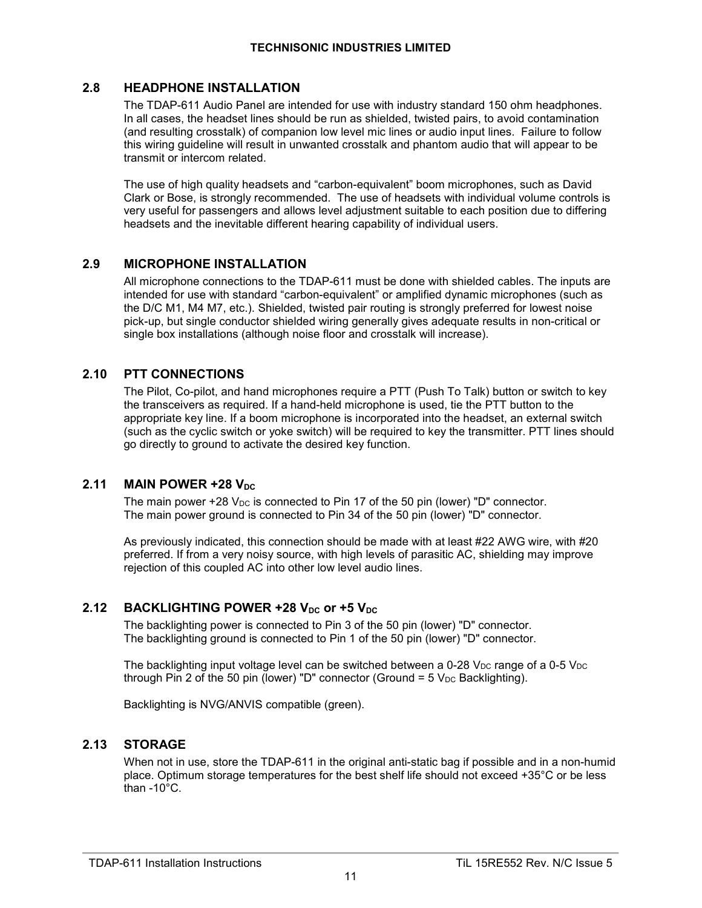### **2.8 HEADPHONE INSTALLATION**

The TDAP-611 Audio Panel are intended for use with industry standard 150 ohm headphones. In all cases, the headset lines should be run as shielded, twisted pairs, to avoid contamination (and resulting crosstalk) of companion low level mic lines or audio input lines. Failure to follow this wiring guideline will result in unwanted crosstalk and phantom audio that will appear to be transmit or intercom related.

The use of high quality headsets and "carbon-equivalent" boom microphones, such as David Clark or Bose, is strongly recommended. The use of headsets with individual volume controls is very useful for passengers and allows level adjustment suitable to each position due to differing headsets and the inevitable different hearing capability of individual users.

### **2.9 MICROPHONE INSTALLATION**

All microphone connections to the TDAP-611 must be done with shielded cables. The inputs are intended for use with standard "carbon-equivalent" or amplified dynamic microphones (such as the D/C M1, M4 M7, etc.). Shielded, twisted pair routing is strongly preferred for lowest noise pick-up, but single conductor shielded wiring generally gives adequate results in non-critical or single box installations (although noise floor and crosstalk will increase).

### **2.10 PTT CONNECTIONS**

The Pilot, Co-pilot, and hand microphones require a PTT (Push To Talk) button or switch to key the transceivers as required. If a hand-held microphone is used, tie the PTT button to the appropriate key line. If a boom microphone is incorporated into the headset, an external switch (such as the cyclic switch or yoke switch) will be required to key the transmitter. PTT lines should go directly to ground to activate the desired key function.

### **2.11 MAIN POWER +28 V<sub>DC</sub>**

The main power  $+28$  V<sub>DC</sub> is connected to Pin 17 of the 50 pin (lower) "D" connector. The main power ground is connected to Pin 34 of the 50 pin (lower) "D" connector.

As previously indicated, this connection should be made with at least #22 AWG wire, with #20 preferred. If from a very noisy source, with high levels of parasitic AC, shielding may improve rejection of this coupled AC into other low level audio lines.

### **2.12 BACKLIGHTING POWER +28 V<sub>DC</sub> or +5 V<sub>DC</sub>**

The backlighting power is connected to Pin 3 of the 50 pin (lower) "D" connector. The backlighting ground is connected to Pin 1 of the 50 pin (lower) "D" connector.

The backlighting input voltage level can be switched between a 0-28  $V_{DC}$  range of a 0-5  $V_{DC}$ through Pin 2 of the 50 pin (lower) "D" connector (Ground =  $5$  V<sub>DC</sub> Backlighting).

Backlighting is NVG/ANVIS compatible (green).

### **2.13 STORAGE**

When not in use, store the TDAP-611 in the original anti-static bag if possible and in a non-humid place. Optimum storage temperatures for the best shelf life should not exceed +35°C or be less than -10 $^{\circ}$ C.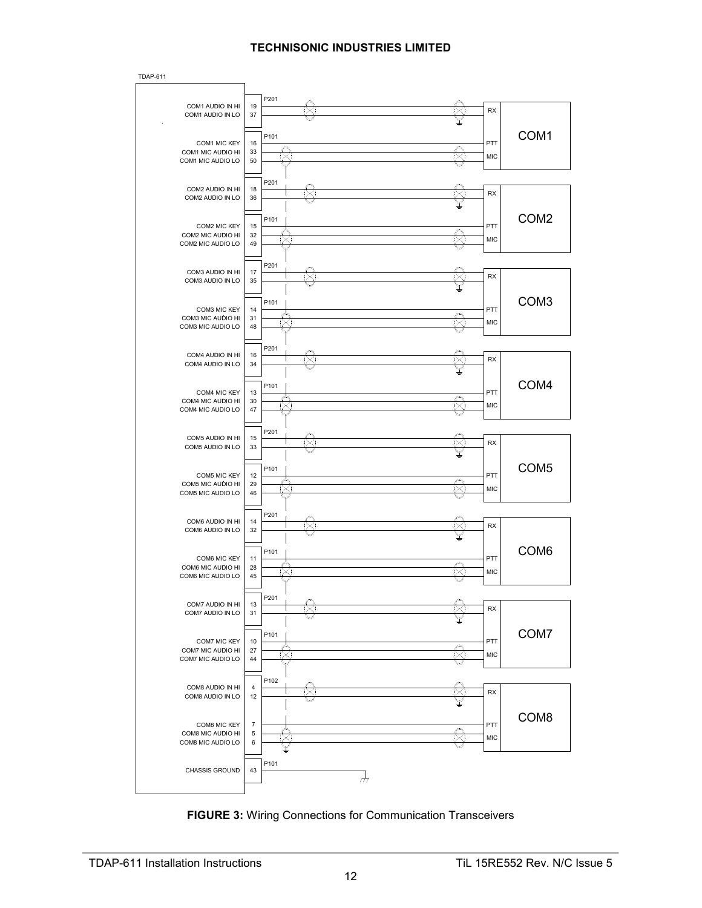

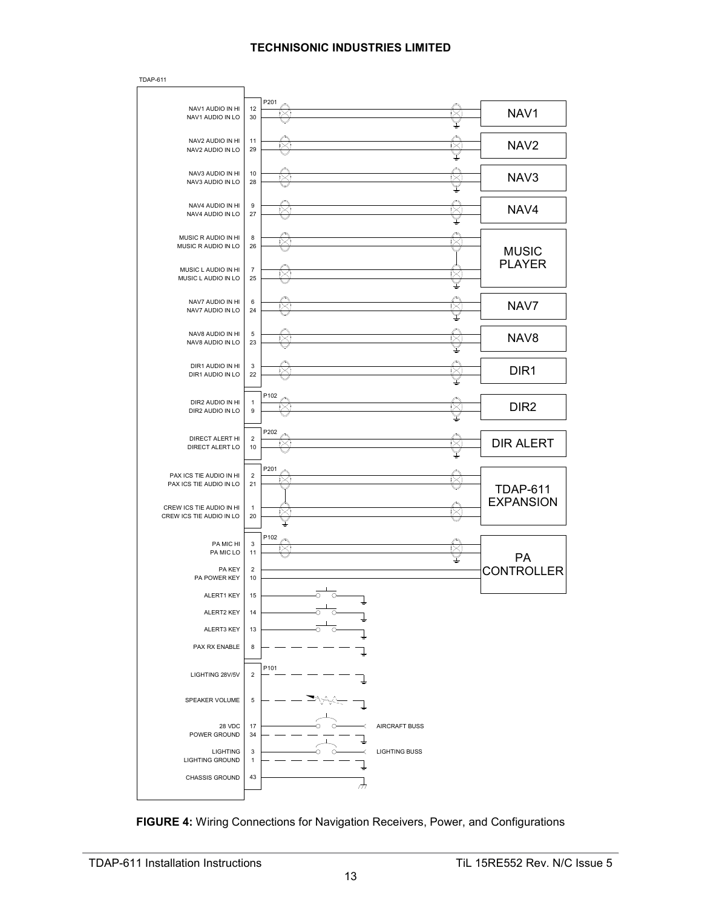

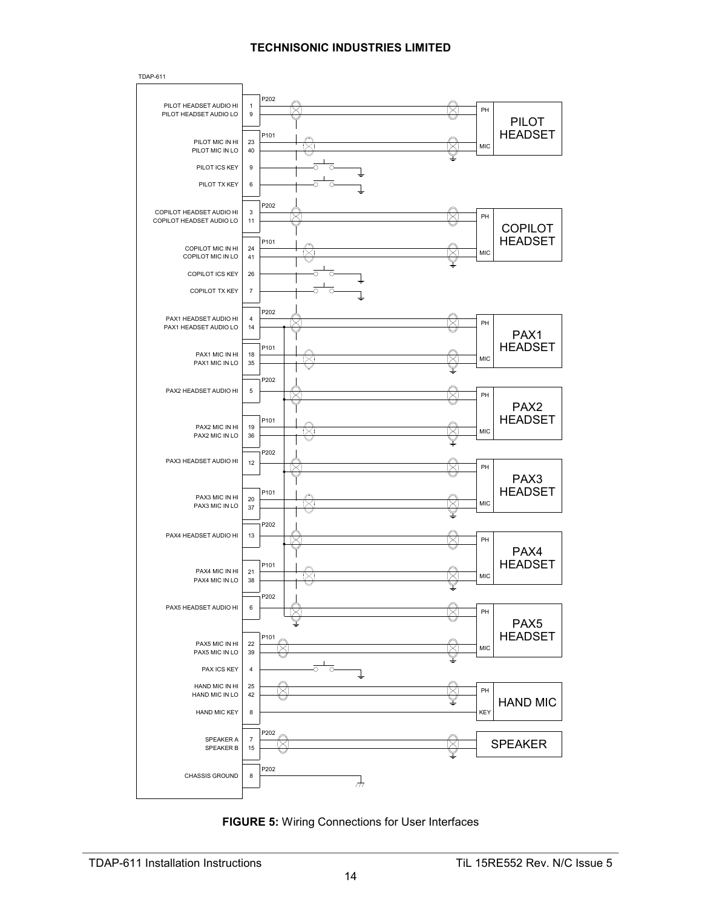

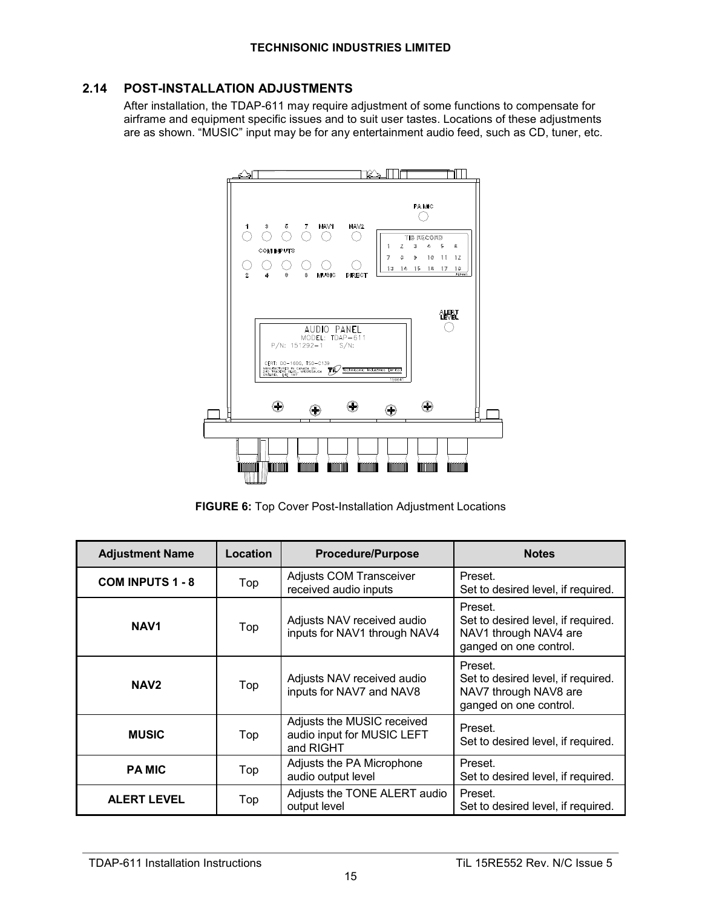### **2.14 POST-INSTALLATION ADJUSTMENTS**

After installation, the TDAP-611 may require adjustment of some functions to compensate for airframe and equipment specific issues and to suit user tastes. Locations of these adjustments are as shown. "MUSIC" input may be for any entertainment audio feed, such as CD, tuner, etc.



**FIGURE 6:** Top Cover Post-Installation Adjustment Locations

| <b>Adjustment Name</b>  | Location | <b>Procedure/Purpose</b>                                              | <b>Notes</b>                                                                                     |
|-------------------------|----------|-----------------------------------------------------------------------|--------------------------------------------------------------------------------------------------|
| <b>COM INPUTS 1 - 8</b> | Top      | Adjusts COM Transceiver<br>received audio inputs                      | Preset.<br>Set to desired level, if required.                                                    |
| NAV <sub>1</sub>        | Top      | Adjusts NAV received audio<br>inputs for NAV1 through NAV4            | Preset.<br>Set to desired level, if required.<br>NAV1 through NAV4 are<br>ganged on one control. |
| NAV <sub>2</sub>        | Top      | Adjusts NAV received audio<br>inputs for NAV7 and NAV8                | Preset.<br>Set to desired level, if required.<br>NAV7 through NAV8 are<br>ganged on one control. |
| <b>MUSIC</b>            | Top      | Adjusts the MUSIC received<br>audio input for MUSIC LEFT<br>and RIGHT | Preset.<br>Set to desired level, if required.                                                    |
| <b>PA MIC</b>           | Top      | Adjusts the PA Microphone<br>audio output level                       | Preset.<br>Set to desired level, if required.                                                    |
| <b>ALERT LEVEL</b>      | Top      | Adjusts the TONE ALERT audio<br>output level                          | Preset.<br>Set to desired level, if required.                                                    |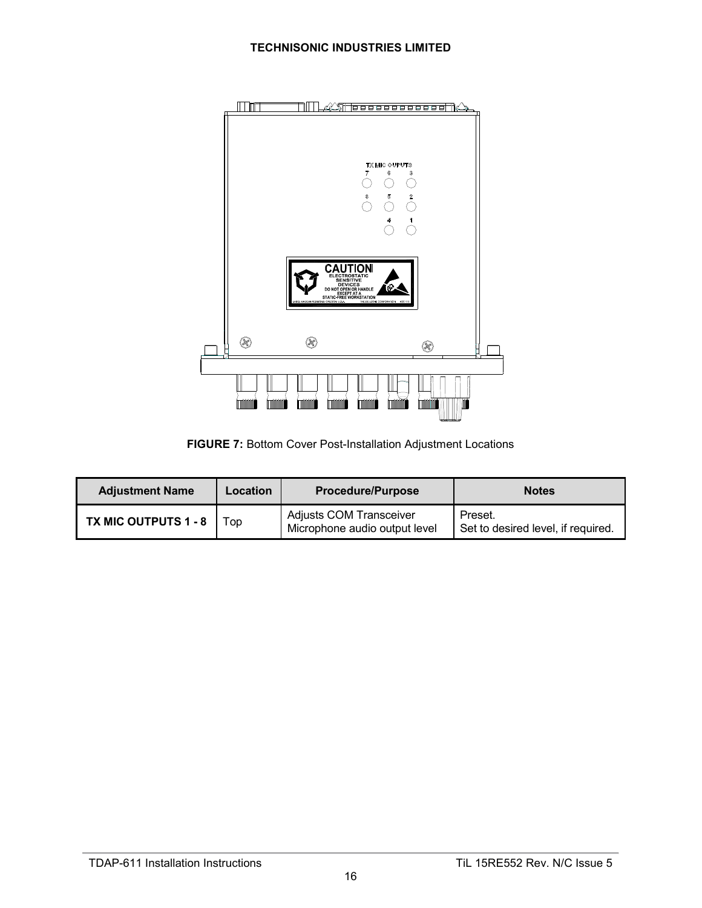

**FIGURE 7:** Bottom Cover Post-Installation Adjustment Locations

| <b>Adjustment Name</b>      | Location             | <b>Procedure/Purpose</b>                                        | <b>Notes</b>                                  |
|-----------------------------|----------------------|-----------------------------------------------------------------|-----------------------------------------------|
| <b>TX MIC OUTPUTS 1 - 8</b> | $\tau_{\mathsf{OD}}$ | <b>Adjusts COM Transceiver</b><br>Microphone audio output level | Preset.<br>Set to desired level, if required. |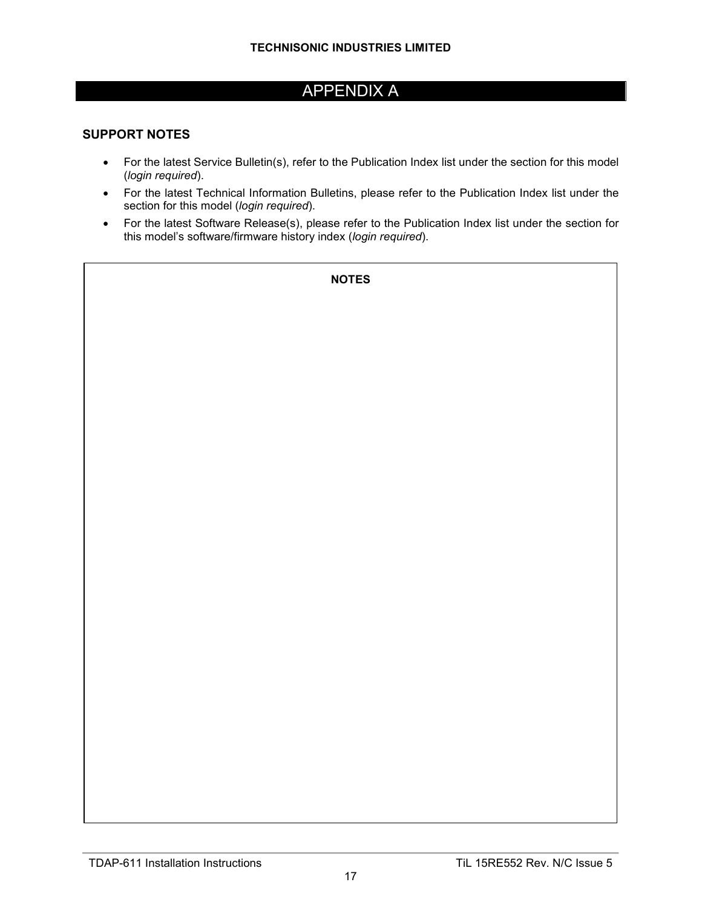### APPENDIX A

### **SUPPORT NOTES**

- For the latest Service Bulletin(s), refer to the Publication Index list under the section for this model (*login required*).
- For the latest Technical Information Bulletins, please refer to the Publication Index list under the section for this model (*login required*).
- For the latest Software Release(s), please refer to the Publication Index list under the section for this model's software/firmware history index (*login required*).

**NOTES**